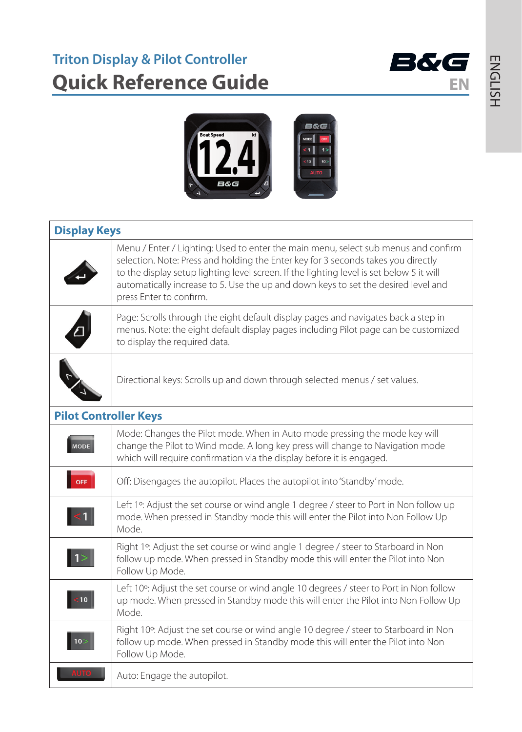# **Triton Display & Pilot Controller Quick Reference Guide**





| <b>Display Keys</b>          |                                                                                                                                                                                                                                                                                                                                                                                      |  |  |
|------------------------------|--------------------------------------------------------------------------------------------------------------------------------------------------------------------------------------------------------------------------------------------------------------------------------------------------------------------------------------------------------------------------------------|--|--|
|                              | Menu / Enter / Lighting: Used to enter the main menu, select sub menus and confirm<br>selection. Note: Press and holding the Enter key for 3 seconds takes you directly<br>to the display setup lighting level screen. If the lighting level is set below 5 it will<br>automatically increase to 5. Use the up and down keys to set the desired level and<br>press Enter to confirm. |  |  |
| $\bigcirc$                   | Page: Scrolls through the eight default display pages and navigates back a step in<br>menus. Note: the eight default display pages including Pilot page can be customized<br>to display the required data.                                                                                                                                                                           |  |  |
|                              | Directional keys: Scrolls up and down through selected menus / set values.                                                                                                                                                                                                                                                                                                           |  |  |
| <b>Pilot Controller Keys</b> |                                                                                                                                                                                                                                                                                                                                                                                      |  |  |
| MODE <sup>1</sup>            | Mode: Changes the Pilot mode. When in Auto mode pressing the mode key will<br>change the Pilot to Wind mode. A long key press will change to Navigation mode<br>which will require confirmation via the display before it is engaged.                                                                                                                                                |  |  |
| OFF                          | Off: Disengages the autopilot. Places the autopilot into 'Standby' mode.                                                                                                                                                                                                                                                                                                             |  |  |
| $\leq 1$                     | Left 1°: Adjust the set course or wind angle 1 degree / steer to Port in Non follow up<br>mode. When pressed in Standby mode this will enter the Pilot into Non Follow Up<br>Mode.                                                                                                                                                                                                   |  |  |
|                              | Right 1º: Adjust the set course or wind angle 1 degree / steer to Starboard in Non<br>follow up mode. When pressed in Standby mode this will enter the Pilot into Non<br>Follow Up Mode.                                                                                                                                                                                             |  |  |
| $\overline{3}$               | Left 10°: Adjust the set course or wind angle 10 degrees / steer to Port in Non follow<br>up mode. When pressed in Standby mode this will enter the Pilot into Non Follow Up<br>Mode.                                                                                                                                                                                                |  |  |
| 10 >                         | Right 10°: Adjust the set course or wind angle 10 degree / steer to Starboard in Non<br>follow up mode. When pressed in Standby mode this will enter the Pilot into Non<br>Follow Up Mode.                                                                                                                                                                                           |  |  |
|                              | Auto: Engage the autopilot.                                                                                                                                                                                                                                                                                                                                                          |  |  |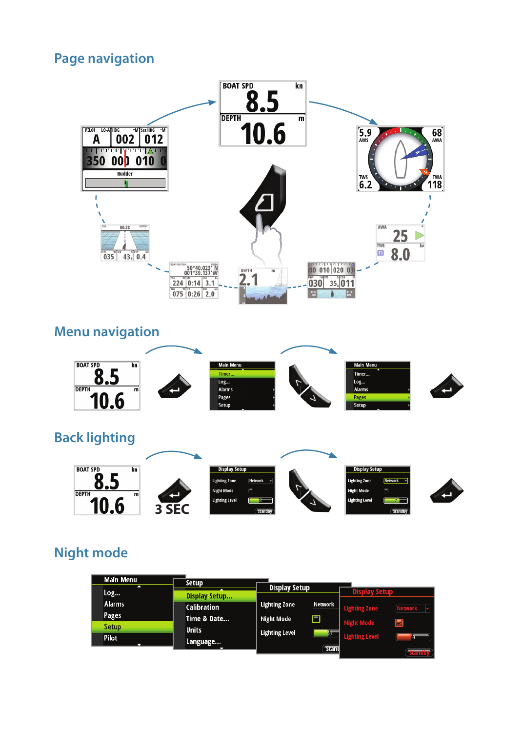**Page navigation**



#### **Menu navigation**



## **Back lighting**



## **Night mode**

| Main Menu     | Setup                |                       |         |                       |                   |
|---------------|----------------------|-----------------------|---------|-----------------------|-------------------|
|               |                      | <b>Display Setup</b>  |         |                       |                   |
| Log           | <b>Display Setup</b> |                       |         | <b>Display Setup</b>  |                   |
| <b>Alarms</b> | Calibration          | <b>Lighting Zone</b>  | Network | <b>Lighting Zone</b>  | Network           |
| Pages         | Time & Date          | <b>Night Mode</b>     | F       | <b>Night Mode</b>     | $\Box$            |
| <b>Setup</b>  | Units                | <b>Lighting Level</b> | Б       |                       |                   |
| Pilot         | Language             |                       |         | <b>Lighting Level</b> | 'Si               |
|               |                      |                       | stern.  |                       | <b>STATISTICS</b> |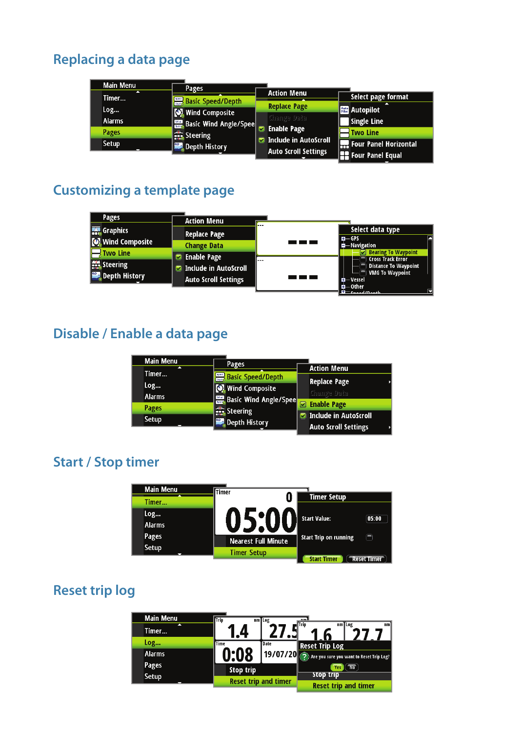## **Replacing a data page**

| Main Menu     |                                   |    |                              |                                  |
|---------------|-----------------------------------|----|------------------------------|----------------------------------|
| ,<br>Timer    | Pages<br><b>Basic Speed/Depth</b> |    | <b>Action Menu</b>           | Select page format               |
| Log           | (b) Wind Composite                |    | <b>Replace Page</b>          | <b>Autopilot</b>                 |
| <b>Alarms</b> | Basic Wind Angle/Spee             |    | Change Data                  | Single Line                      |
| Pages         | Steering                          |    | <b>E</b> Enable Page         | $\Box$ Two Line                  |
| Setup         | Depth History                     | ø. | <b>Include in AutoScroll</b> | <b>Les Four Panel Horizontal</b> |
|               |                                   |    | <b>Auto Scroll Settings</b>  | <b>EX Four Panel Equal</b>       |

### **Customizing a template page**

| Pages                     | <b>Action Menu</b>          |     |                                                       |
|---------------------------|-----------------------------|-----|-------------------------------------------------------|
| <b>TAT Graphics</b>       | <b>Replace Page</b>         | .   | Select data type<br>Ø<br>$m-$ GPS                     |
| Wind Composite            | <b>Change Data</b>          | --  | - Navigation<br><b>Bearing To Waypoint</b>            |
| <b>Two Line</b>           | <b>E</b> Enable Page        | --- | <b>Cross Track Error</b>                              |
| Steering<br>Depth History | Include in AutoScroll       |     | <b>Distance To Waypoint</b><br><b>VMG To Waypoint</b> |
|                           | <b>Auto Scroll Settings</b> |     | <b>El</b> -Vessel<br>$\mathbf{u}$ — Other             |

## **Disable / Enable a data page**

| Main Menu        |                                |                             |
|------------------|--------------------------------|-----------------------------|
|                  | Pages                          | <b>Action Menu</b>          |
| Timer            | <b>FIRMA Basic Speed/Depth</b> | <b>Replace Page</b>         |
| log <sub>1</sub> | (b) Wind Composite             |                             |
| Alarms           | Basic Wind Angle/Spee          | Change Data                 |
| Pages            |                                | <b>☑</b> Enable Page        |
|                  | Steering                       | Include in AutoScroll       |
| Setup            | Depth History                  | <b>Auto Scroll Settings</b> |

## **Start / Stop timer**

| Main Menu            | Timer                      |                                          |
|----------------------|----------------------------|------------------------------------------|
| Timer                |                            | <b>Timer Setup</b>                       |
| log<br><b>Alarms</b> |                            | <b>Start Value:</b><br>05:00             |
| Pages                | <b>Nearest Full Minute</b> | <b>Start Trip on running</b><br>E        |
| Setup                | <b>Timer Setup</b>         | <b>Start Timer</b><br><b>Reset Timer</b> |

## **Reset trip log**

| <b>Main Menu</b> | Trip                        | nm Log   | nm)                     |                                          |
|------------------|-----------------------------|----------|-------------------------|------------------------------------------|
| ∽<br>Timer       |                             |          | Trip                    | nm Log<br>nm                             |
| Log              | Time                        | Date     | <b>Reset Trip Log</b>   |                                          |
| <b>Alarms</b>    |                             | 19/07/20 |                         | Are you sure you want to Reset Trip Log? |
| Pages<br>Setup   | Stop trip                   |          | Yes<br><b>Stop trip</b> | No                                       |
|                  | <b>Reset trip and timer</b> |          |                         | <b>Reset trip and timer</b>              |